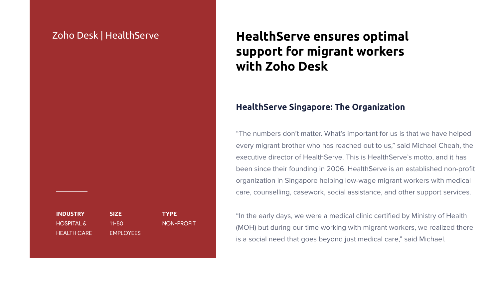"The numbers don't matter. What's important for us is that we have helped every migrant brother who has reached out to us," said Michael Cheah, the executive director of HealthServe. This is HealthServe's motto, and it has been since their founding in 2006. HealthServe is an established non-profit organization in Singapore helping low-wage migrant workers with medical care, counselling, casework, social assistance, and other support services.

"In the early days, we were a medical clinic certified by Ministry of Health (MOH) but during our time working with migrant workers, we realized there is a social need that goes beyond just medical care," said Michael.



**INDUSTRY** HOSPITAL & HEALTH CARE

**SIZE** 11-50 EMPLOYEES **TYPE** NON-PROFIT

# **HealthServe ensures optimal support for migrant workers with Zoho Desk**

## Zoho Desk | HealthServe

## **HealthServe Singapore: The Organization**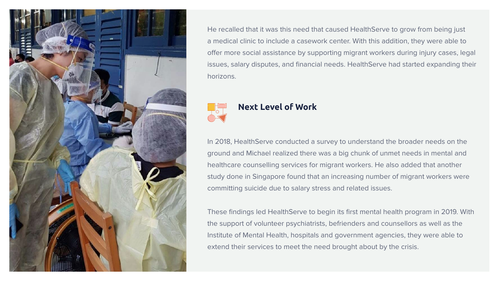In 2018, HealthServe conducted a survey to understand the broader needs on the ground and Michael realized there was a big chunk of unmet needs in mental and healthcare counselling services for migrant workers. He also added that another study done in Singapore found that an increasing number of migrant workers were committing suicide due to salary stress and related issues.

These findings led HealthServe to begin its first mental health program in 2019. With the support of volunteer psychiatrists, befrienders and counsellors as well as the Institute of Mental Health, hospitals and government agencies, they were able to extend their services to meet the need brought about by the crisis.

#### **Next Level of Work**





He recalled that it was this need that caused HealthServe to grow from being just a medical clinic to include a casework center. With this addition, they were able to offer more social assistance by supporting migrant workers during injury cases, legal issues, salary disputes, and financial needs. HealthServe had started expanding their horizons.

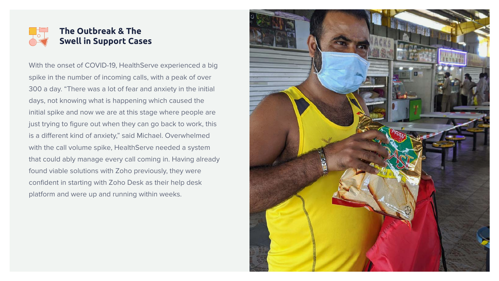With the onset of COVID-19, HealthServe experienced a big spike in the number of incoming calls, with a peak of over 300 a day. "There was a lot of fear and anxiety in the initial days, not knowing what is happening which caused the initial spike and now we are at this stage where people are just trying to figure out when they can go back to work, this is a different kind of anxiety," said Michael. Overwhelmed with the call volume spike, HealthServe needed a system that could ably manage every call coming in. Having already found viable solutions with Zoho previously, they were confident in starting with Zoho Desk as their help desk platform and were up and running within weeks.



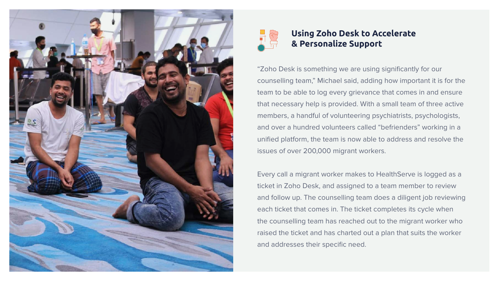"Zoho Desk is something we are using significantly for our counselling team," Michael said, adding how important it is for the team to be able to log every grievance that comes in and ensure that necessary help is provided. With a small team of three active members, a handful of volunteering psychiatrists, psychologists, and over a hundred volunteers called "befrienders" working in a unified platform, the team is now able to address and resolve the issues of over 200,000 migrant workers.

Every call a migrant worker makes to HealthServe is logged as a ticket in Zoho Desk, and assigned to a team member to review and follow up. The counselling team does a diligent job reviewing each ticket that comes in. The ticket completes its cycle when the counselling team has reached out to the migrant worker who raised the ticket and has charted out a plan that suits the worker and addresses their specific need.





## **Using Zoho Desk to Accelerate & Personalize Support**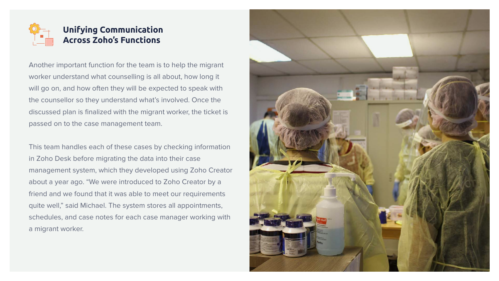Another important function for the team is to help the migrant worker understand what counselling is all about, how long it will go on, and how often they will be expected to speak with the counsellor so they understand what's involved. Once the discussed plan is finalized with the migrant worker, the ticket is passed on to the case management team.

This team handles each of these cases by checking information in Zoho Desk before migrating the data into their case management system, which they developed using Zoho Creator about a year ago. "We were introduced to Zoho Creator by a friend and we found that it was able to meet our requirements quite well," said Michael. The system stores all appointments, schedules, and case notes for each case manager working with a migrant worker.



# **Unifying Communication Across Zoho's Functions**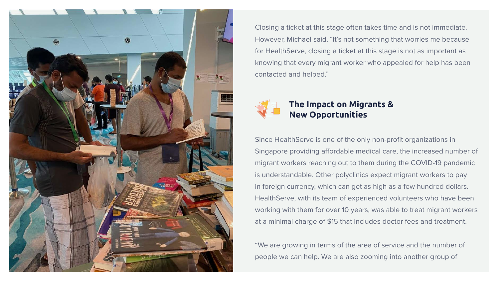Since HealthServe is one of the only non-profit organizations in Singapore providing affordable medical care, the increased number of migrant workers reaching out to them during the COVID-19 pandemic is understandable. Other polyclinics expect migrant workers to pay in foreign currency, which can get as high as a few hundred dollars. HealthServe, with its team of experienced volunteers who have been working with them for over 10 years, was able to treat migrant workers at a minimal charge of \$15 that includes doctor fees and treatment.

"We are growing in terms of the area of service and the number of people we can help. We are also zooming into another group of



## **The Impact on Migrants & New Opportunities**



Closing a ticket at this stage often takes time and is not immediate. However, Michael said, "It's not something that worries me because for HealthServe, closing a ticket at this stage is not as important as knowing that every migrant worker who appealed for help has been contacted and helped."